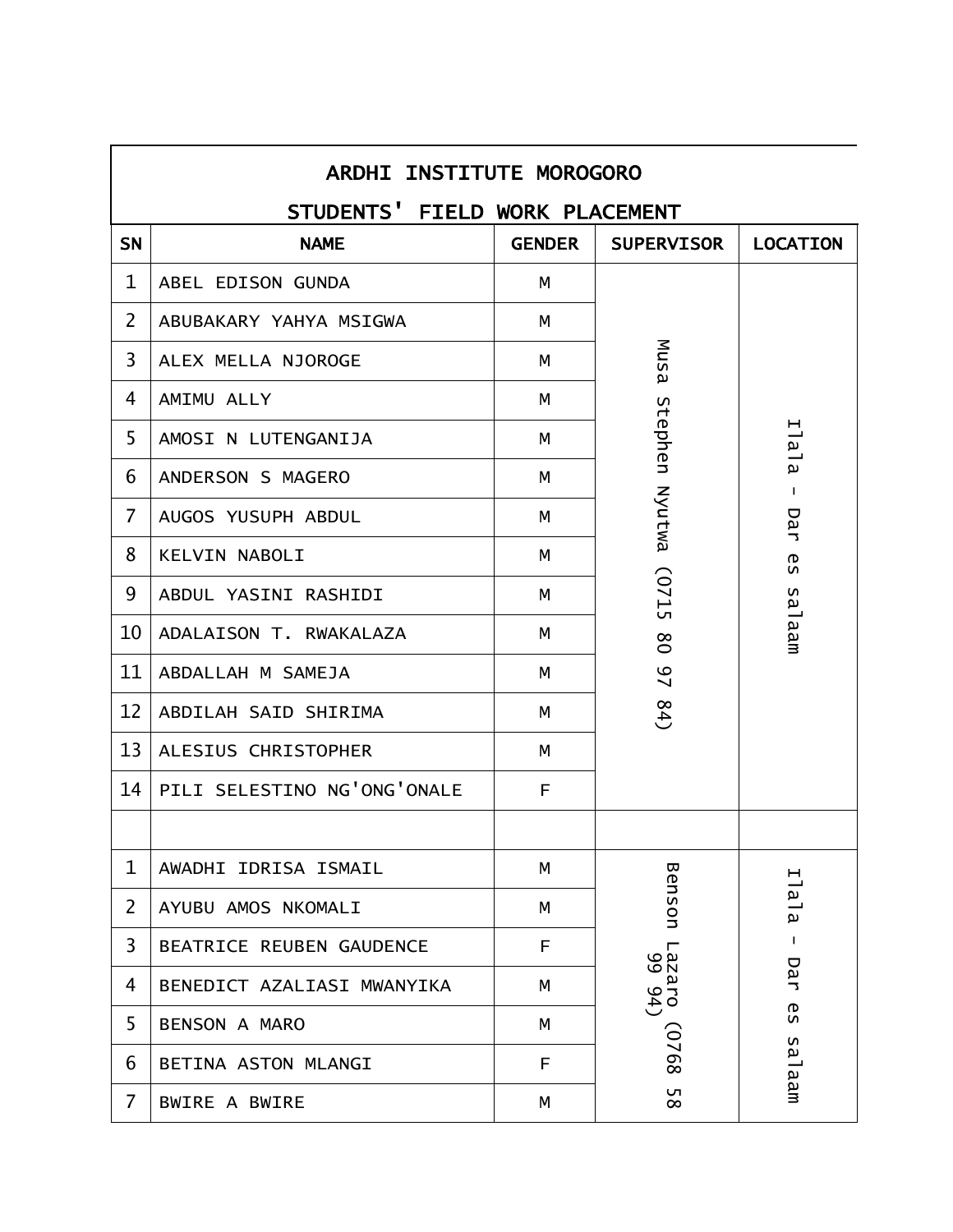|                | <b>ARDHI INSTITUTE MOROGORO</b> |               |                   |                     |  |  |
|----------------|---------------------------------|---------------|-------------------|---------------------|--|--|
|                | STUDENTS' FIELD WORK PLACEMENT  |               |                   |                     |  |  |
| <b>SN</b>      | <b>NAME</b>                     | <b>GENDER</b> | <b>SUPERVISOR</b> | <b>LOCATION</b>     |  |  |
| 1              | ABEL EDISON GUNDA               | м             |                   |                     |  |  |
| $\overline{2}$ | ABUBAKARY YAHYA MSIGWA          | M             |                   |                     |  |  |
| $\overline{3}$ | ALEX MELLA NJOROGE              | M             | Musa              |                     |  |  |
| 4              | AMIMU ALLY                      | М             |                   |                     |  |  |
| 5              | AMOSI N LUTENGANIJA             | M             |                   | Ilala               |  |  |
| 6              | ANDERSON S MAGERO               | M             | Stephen Nyutwa    | $\mathbf{I}$        |  |  |
| $\overline{7}$ | AUGOS YUSUPH ABDUL              | M             |                   | Dar                 |  |  |
| 8              | KELVIN NABOLI                   | м             |                   | რ<br>ა              |  |  |
| 9              | ABDUL YASINI RASHIDI            | М             | ST20              |                     |  |  |
| 10             | ADALAISON T. RWAKALAZA          | M             | $\rm 80$          | aa <sub>l</sub> aam |  |  |
| 11             | ABDALLAH M SAMEJA               | M             | $\overline{2}$    |                     |  |  |
| 12             | ABDILAH SAID SHIRIMA            | М             | (4)               |                     |  |  |
| 13             | ALESIUS CHRISTOPHER             | M             |                   |                     |  |  |
| 14             | PILI SELESTINO NG'ONG'ONALE     | F             |                   |                     |  |  |
|                |                                 |               |                   |                     |  |  |
| 1              | AWADHI IDRISA ISMAIL            | М             |                   |                     |  |  |
| $\overline{2}$ | AYUBU AMOS NKOMALI              | М             | Benson            | Ilala               |  |  |
| 3              | BEATRICE REUBEN GAUDENCE        | F             |                   | $\mathbf{I}$        |  |  |
| 4              | BENEDICT AZALIASI MWANYIKA      | M             | Lazaro<br>015261  | Dar                 |  |  |
| 5              | <b>BENSON A MARO</b>            | M             |                   | <b>GS</b>           |  |  |
| 6              | BETINA ASTON MLANGI             | F             | 8920)             | sa <sup>1</sup> aam |  |  |
| $\overline{7}$ | <b>BWIRE A BWIRE</b>            | М             | UП<br>$\infty$    |                     |  |  |

Г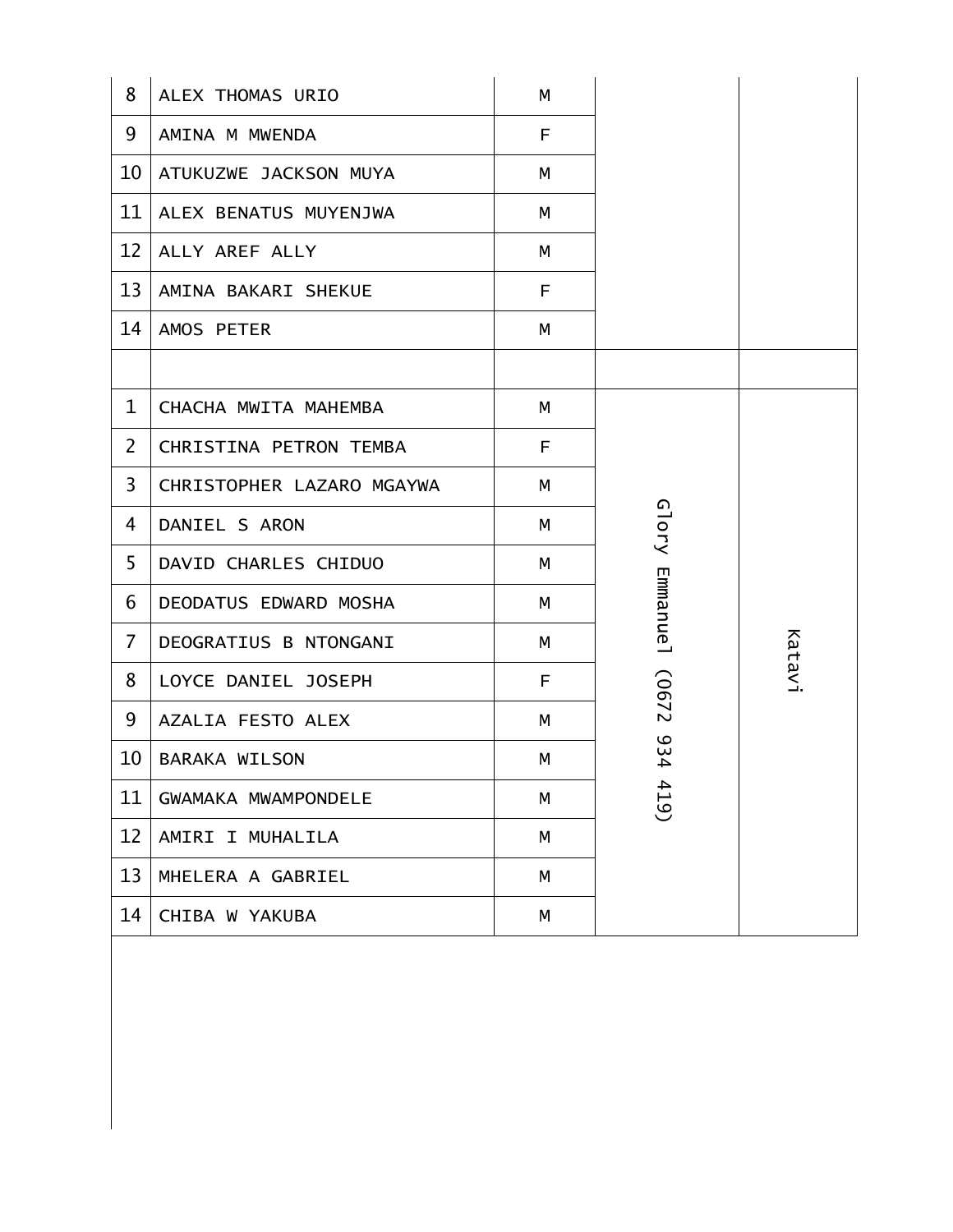| 8                 | ALEX THOMAS URIO          | M  |                 |        |
|-------------------|---------------------------|----|-----------------|--------|
| 9                 | AMINA M MWENDA            | F  |                 |        |
| 10                | ATUKUZWE JACKSON MUYA     | М  |                 |        |
| 11                | ALEX BENATUS MUYENJWA     | M  |                 |        |
| $12 \overline{ }$ | ALLY AREF ALLY            | M  |                 |        |
| 13                | AMINA BAKARI SHEKUE       | F  |                 |        |
| 14                | AMOS PETER                | M  |                 |        |
|                   |                           |    |                 |        |
| $\mathbf 1$       | CHACHA MWITA MAHEMBA      | M  |                 |        |
| $\overline{2}$    | CHRISTINA PETRON TEMBA    | F  |                 |        |
| 3                 | CHRISTOPHER LAZARO MGAYWA | M  |                 |        |
| 4                 | DANIEL S ARON             | M  | Glory           |        |
| 5                 | DAVID CHARLES CHIDUO      | М  |                 |        |
| 6                 | DEODATUS EDWARD MOSHA     | M  | <b>Emmanue1</b> |        |
| $\overline{7}$    | DEOGRATIUS B NTONGANI     | M  |                 | Katavi |
| 8                 | LOYCE DANIEL JOSEPH       | F. | (0672           |        |
| 9                 | AZALIA FESTO ALEX         | M  |                 |        |
| 10                | <b>BARAKA WILSON</b>      | М  | 934             |        |
| 11                | GWAMAKA MWAMPONDELE       | M  | 419             |        |
| 12                | AMIRI I MUHALILA          | M  |                 |        |
| 13                | MHELERA A GABRIEL         | M  |                 |        |
| 14                | CHIBA W YAKUBA            | М  |                 |        |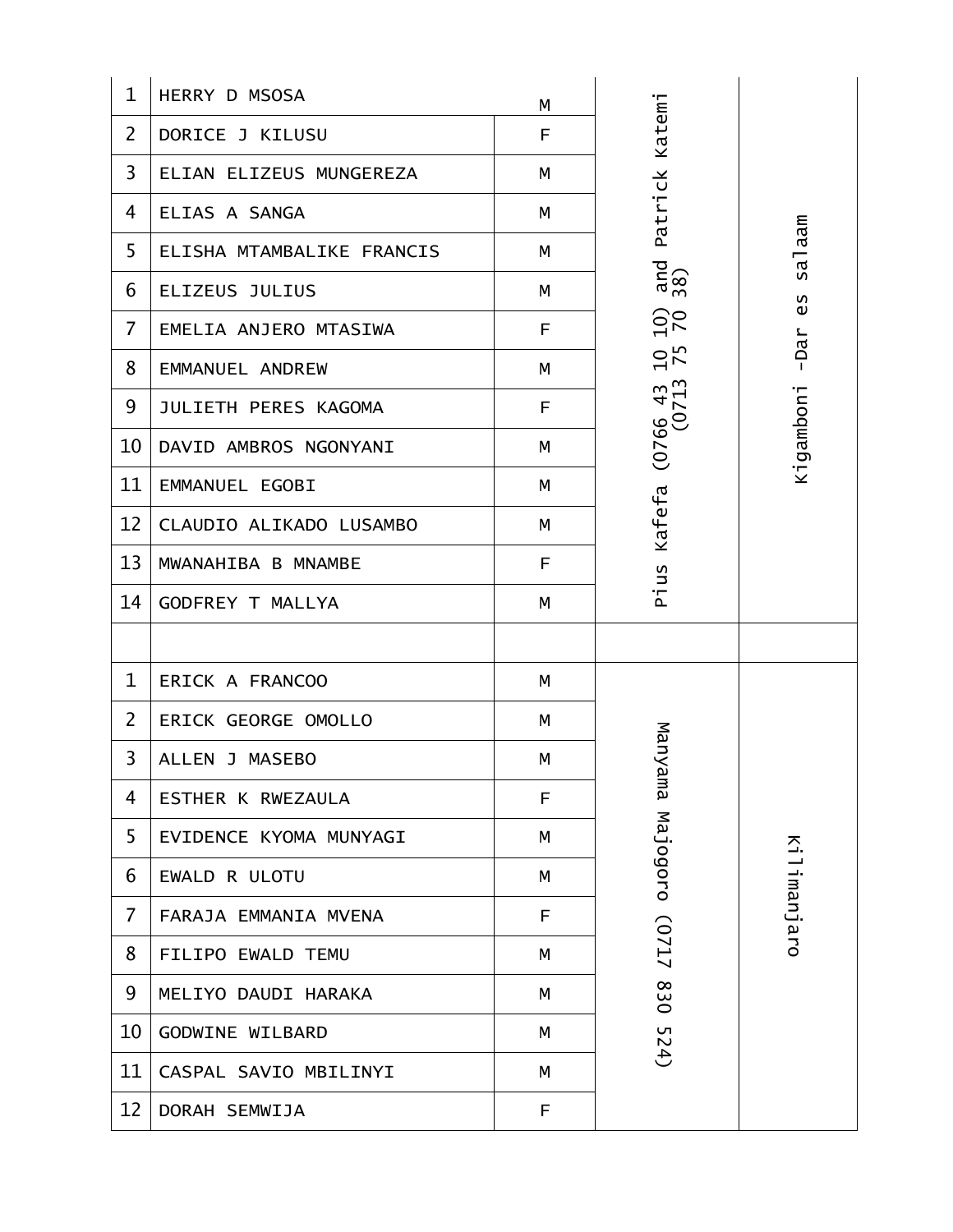| $\mathbf 1$    | <b>HERRY D MSOSA</b>      | М |                       |             |
|----------------|---------------------------|---|-----------------------|-------------|
| $\overline{2}$ | DORICE J KILUSU           | F | Katemi                |             |
| $\overline{3}$ | ELIAN ELIZEUS MUNGEREZA   | М |                       |             |
| 4              | ELIAS A SANGA             | М | Patrick               |             |
| 5              | ELISHA MTAMBALIKE FRANCIS | M |                       | salaam      |
| 6              | ELIZEUS JULIUS            | M | $\frac{and}{38}$      | 65          |
| $\overline{7}$ | EMELIA ANJERO MTASIWA     | F | $\frac{5}{20}$        | $-Dar$      |
| 8              | EMMANUEL ANDREW           | M | $10^{75}$             |             |
| 9              | JULIETH PERES KAGOMA      | F | $(0766 43$<br>$(0713$ | Kigamboni   |
| 10             | DAVID AMBROS NGONYANI     | М |                       |             |
| 11             | EMMANUEL EGOBI            | M |                       |             |
| 12             | CLAUDIO ALIKADO LUSAMBO   | М | Kafefa                |             |
| 13             | MWANAHIBA B MNAMBE        | F | Pius                  |             |
| 14             | <b>GODFREY T MALLYA</b>   | M |                       |             |
|                |                           |   |                       |             |
| $\mathbf{1}$   | ERICK A FRANCOO           | M |                       |             |
| $\overline{2}$ | ERICK GEORGE OMOLLO       | М |                       |             |
| 3              | ALLEN J MASEBO            | M | Manya                 |             |
| 4              | ESTHER K RWEZAULA         | F | E                     |             |
| 5              | EVIDENCE KYOMA MUNYAGI    | М | Majogoro (0717        |             |
| 6              | EWALD R ULOTU             | М |                       | Kilimanjaro |
| $\overline{7}$ | FARAJA EMMANIA MVENA      | F |                       |             |
| 8              | FILIPO EWALD TEMU         | M |                       |             |
| 9              | MELIYO DAUDI HARAKA       | М | 830                   |             |
| 10             | GODWINE WILBARD           | М | 52                    |             |
| 11             | CASPAL SAVIO MBILINYI     | М | $\overline{4}$        |             |
| 12             | DORAH SEMWIJA             | F |                       |             |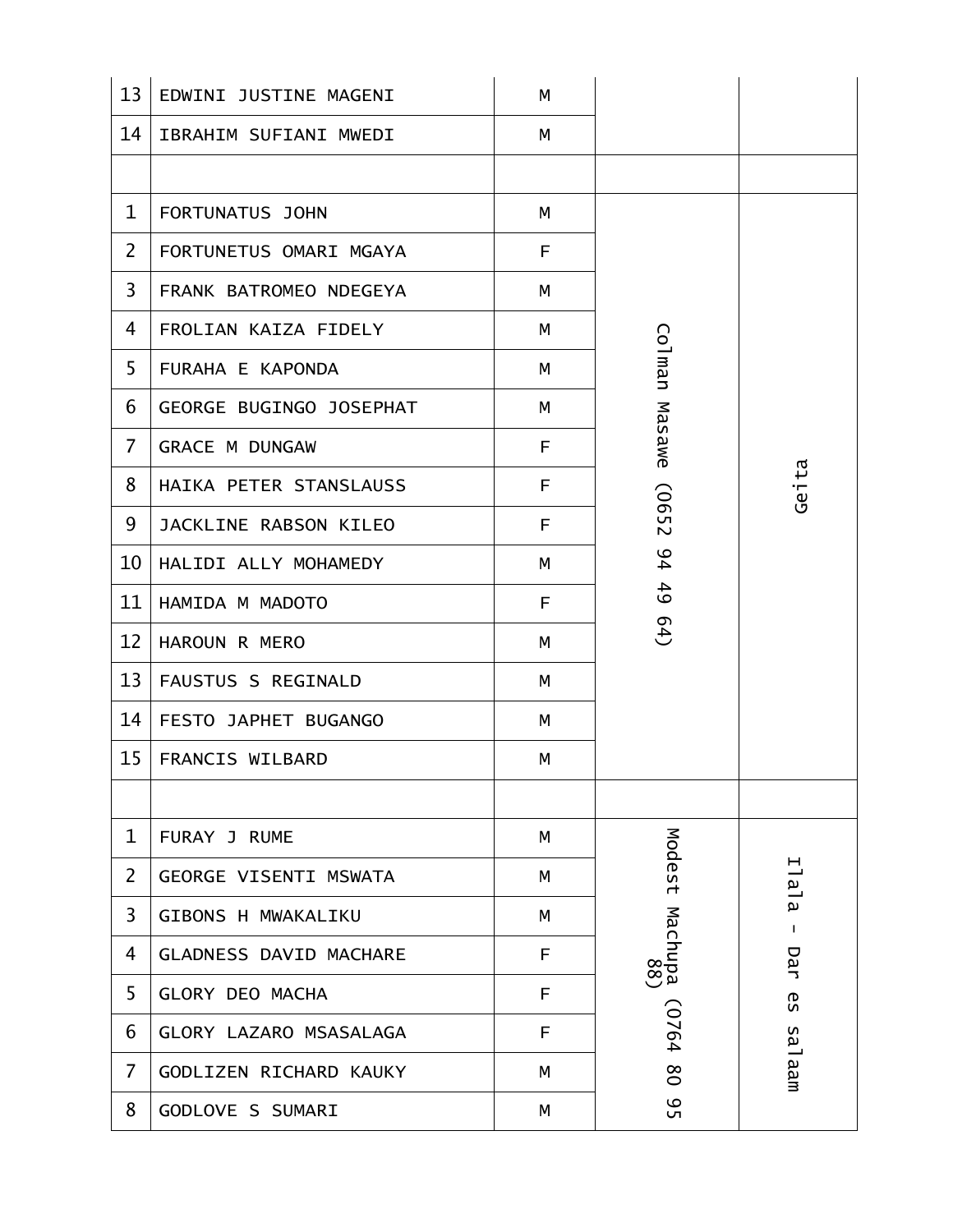| 13             | EDWINI JUSTINE MAGENI         | М  |                |              |
|----------------|-------------------------------|----|----------------|--------------|
| 14             | IBRAHIM SUFIANI MWEDI         | М  |                |              |
|                |                               |    |                |              |
| $\mathbf{1}$   | FORTUNATUS JOHN               | M  |                |              |
| $\overline{2}$ | FORTUNETUS OMARI MGAYA        | F. |                |              |
| $\overline{3}$ | FRANK BATROMEO NDEGEYA        | M  |                |              |
| 4              | FROLIAN KAIZA FIDELY          | М  |                |              |
| 5              | FURAHA E KAPONDA              | м  | Colman         |              |
| 6              | GEORGE BUGINGO JOSEPHAT       | М  |                |              |
| $\overline{7}$ | <b>GRACE M DUNGAW</b>         | F  | Masawe         |              |
| 8              | HAIKA PETER STANSLAUSS        | F  |                | Geita        |
| 9              | JACKLINE RABSON KILEO         | F  | (0652          |              |
| 10             | HALIDI ALLY MOHAMEDY          | М  | 94             |              |
| 11             | HAMIDA M MADOTO               | F  | 49             |              |
| 12             | HAROUN R MERO                 | M  | 64)            |              |
| 13             | FAUSTUS S REGINALD            | М  |                |              |
| 14             | FESTO JAPHET BUGANGO          | M  |                |              |
| 15             | FRANCIS WILBARD               | М  |                |              |
|                |                               |    |                |              |
| $\mathbf 1$    | FURAY J RUME                  | M  |                |              |
| $\overline{2}$ | GEORGE VISENTI MSWATA         | М  | Modest         | Ilala        |
| 3              | <b>GIBONS H MWAKALIKU</b>     | М  |                | $\mathbf{I}$ |
| 4              | <b>GLADNESS DAVID MACHARE</b> | F. | Machupa<br>68) | Dar          |
| 5              | <b>GLORY DEO MACHA</b>        | F  |                | <b>GS</b>    |
| 6              | GLORY LAZARO MSASALAGA        | F  | (0764          |              |
| $\overline{7}$ | GODLIZEN RICHARD KAUKY        | М  | $80\,$         | salaam       |
| 8              | GODLOVE S SUMARI              | М  | 95             |              |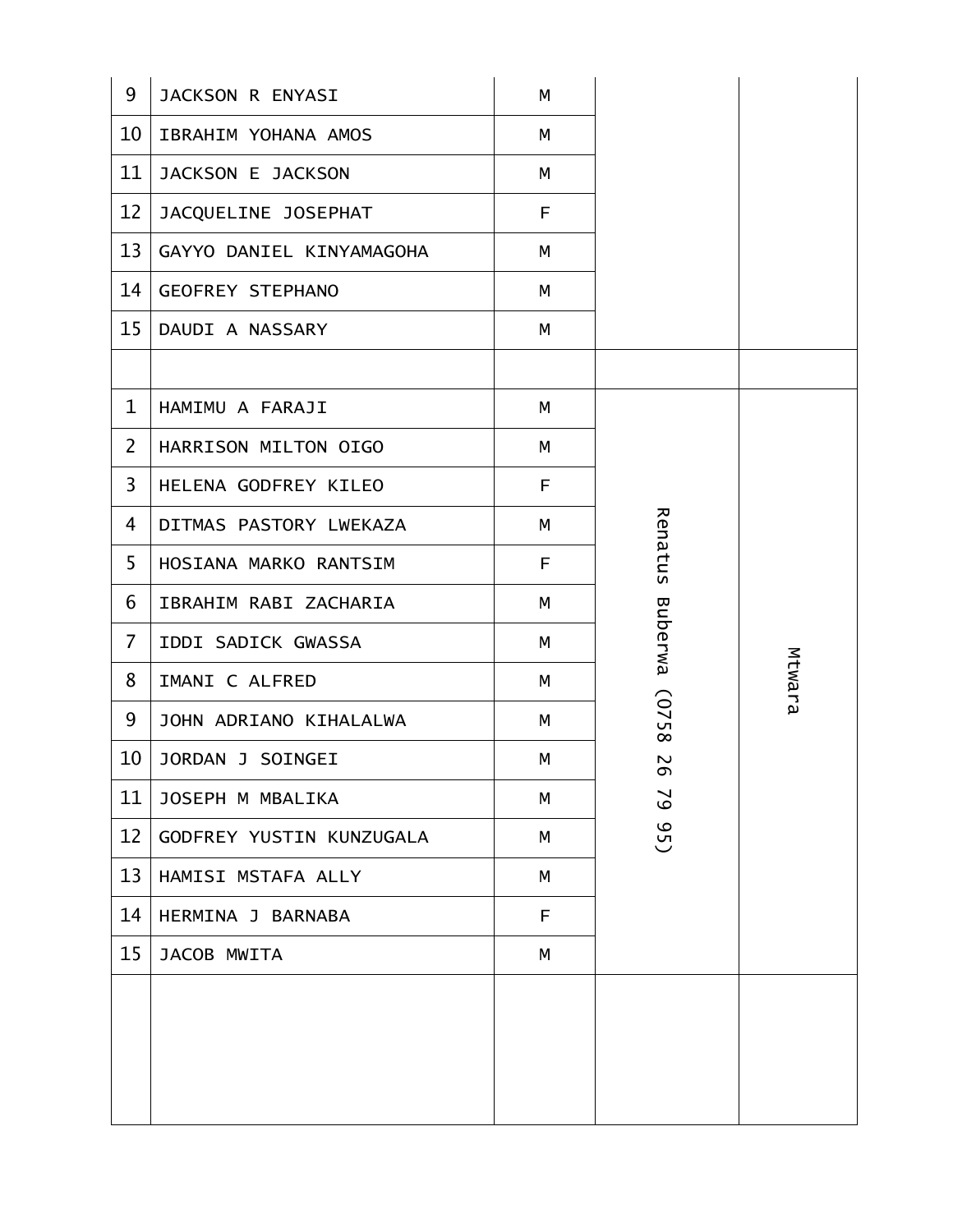| 9               | JACKSON R ENYASI         | M |                                 |        |
|-----------------|--------------------------|---|---------------------------------|--------|
| 10              | IBRAHIM YOHANA AMOS      | M |                                 |        |
| 11              | JACKSON E JACKSON        | M |                                 |        |
| 12              | JACQUELINE JOSEPHAT      | F |                                 |        |
| 13              | GAYYO DANIEL KINYAMAGOHA | M |                                 |        |
| 14 <sup>1</sup> | <b>GEOFREY STEPHANO</b>  | M |                                 |        |
| 15 <sub>1</sub> | DAUDI A NASSARY          | М |                                 |        |
|                 |                          |   |                                 |        |
| $\mathbf{1}$    | HAMIMU A FARAJI          | M |                                 |        |
| $\overline{2}$  | HARRISON MILTON OIGO     | M |                                 |        |
| 3               | HELENA GODFREY KILEO     | F |                                 |        |
| 4               | DITMAS PASTORY LWEKAZA   | M |                                 |        |
| 5               | HOSIANA MARKO RANTSIM    | F | Renatus                         |        |
| 6               | IBRAHIM RABI ZACHARIA    | М |                                 |        |
| $\overline{7}$  | IDDI SADICK GWASSA       | M | <b>Buberwa</b>                  |        |
| 8               | IMANI C ALFRED           | M |                                 | Mtwara |
| 9               | JOHN ADRIANO KIHALALWA   | M | (0758                           |        |
| 10              | JORDAN J SOINGEI         | M | $\boldsymbol{\sim}$<br>$\sigma$ |        |
| 11              | JOSEPH M MBALIKA         | М | $\mathcal{S}$                   |        |
| 12              | GODFREY YUSTIN KUNZUGALA | M | G <sub>5</sub>                  |        |
| 13              | HAMISI MSTAFA ALLY       | M |                                 |        |
| 14              | HERMINA J BARNABA        | F |                                 |        |
| 15              | JACOB MWITA              | М |                                 |        |
|                 |                          |   |                                 |        |
|                 |                          |   |                                 |        |
|                 |                          |   |                                 |        |
|                 |                          |   |                                 |        |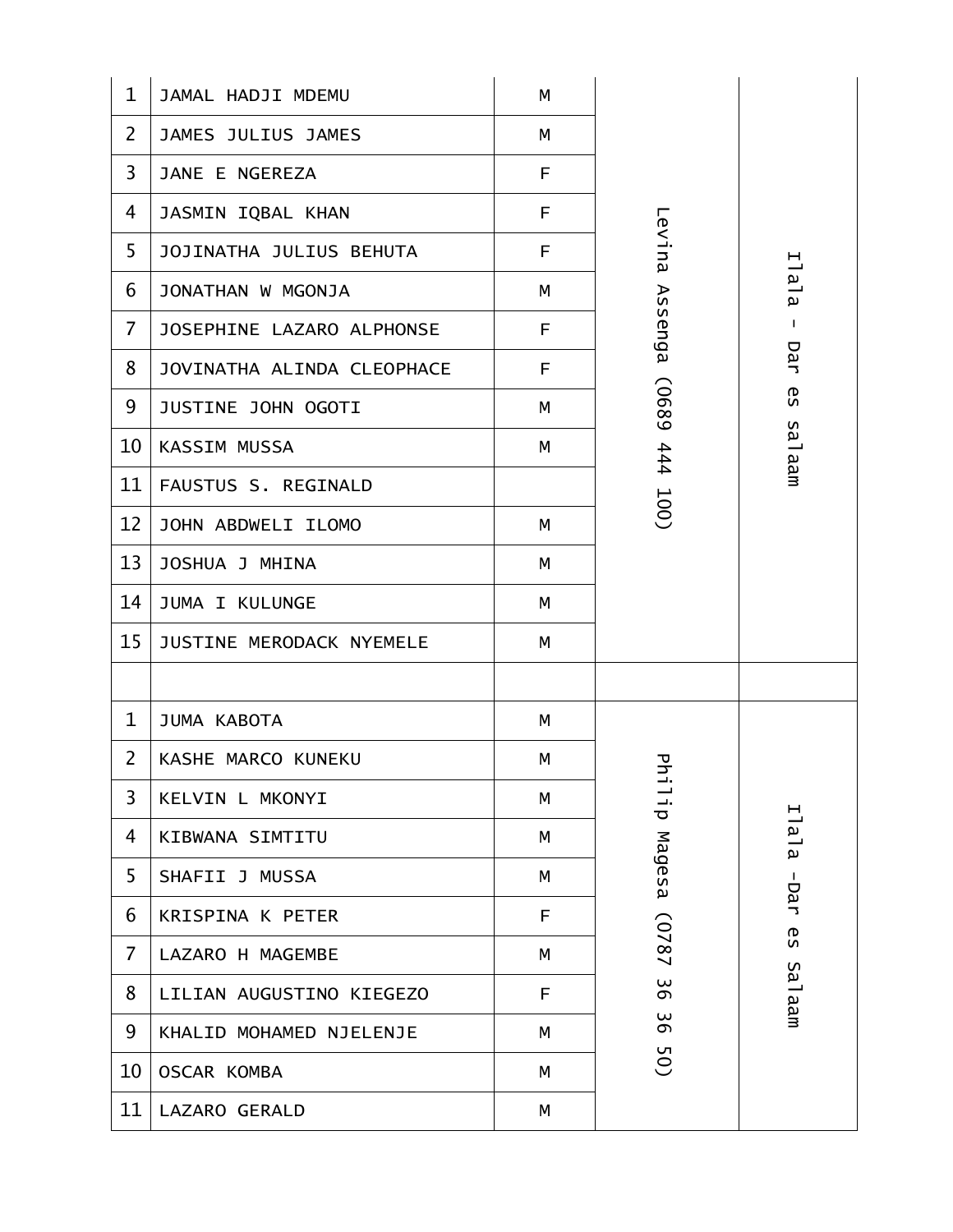| 1              | JAMAL HADJI MDEMU          | M |             |              |
|----------------|----------------------------|---|-------------|--------------|
| $\overline{2}$ | JAMES JULIUS JAMES         | M |             |              |
| $\overline{3}$ | JANE E NGEREZA             | F |             |              |
| 4              | JASMIN IQBAL KHAN          | F |             |              |
| 5              | JOJINATHA JULIUS BEHUTA    | F | Levina      |              |
| 6              | JONATHAN W MGONJA          | M |             | Ilala        |
| $\overline{7}$ | JOSEPHINE LAZARO ALPHONSE  | F | Assenga     | $\mathbf{I}$ |
| 8              | JOVINATHA ALINDA CLEOPHACE | F |             | Dar          |
| 9              | JUSTINE JOHN OGOTI         | М | 6890)       | 6S           |
| 10             | KASSIM MUSSA               | М | 444         | salaam       |
| 11             | FAUSTUS S. REGINALD        |   |             |              |
| 12             | JOHN ABDWELI ILOMO         | M | <b>100)</b> |              |
| 13             | JOSHUA J MHINA             | М |             |              |
| 14             | <b>JUMA I KULUNGE</b>      | М |             |              |
| 15             | JUSTINE MERODACK NYEMELE   | M |             |              |
|                |                            |   |             |              |
| $\mathbf{1}$   | JUMA KABOTA                | M |             |              |
| $\overline{2}$ | KASHE MARCO KUNEKU         | M | 공           |              |
| 3              | KELVIN L MKONYI            | M | ц.<br>11    |              |
| 4              | KIBWANA SIMTITU            | М |             | Ilala        |
| 5              | SHAFII J MUSSA             | М | Magesa      | -Dar         |
| 6              | KRISPINA K PETER           | F |             |              |
| 7              | LAZARO H MAGEMBE           | M | (0787       | <b>GS</b>    |
| 8              | LILIAN AUGUSTINO KIEGEZO   | F | 36          | maan         |
| 9              | KHALID MOHAMED NJELENJE    | М | 36          |              |
| 10             | <b>OSCAR KOMBA</b>         | М | 50)         |              |
| 11             | <b>LAZARO GERALD</b>       | М |             |              |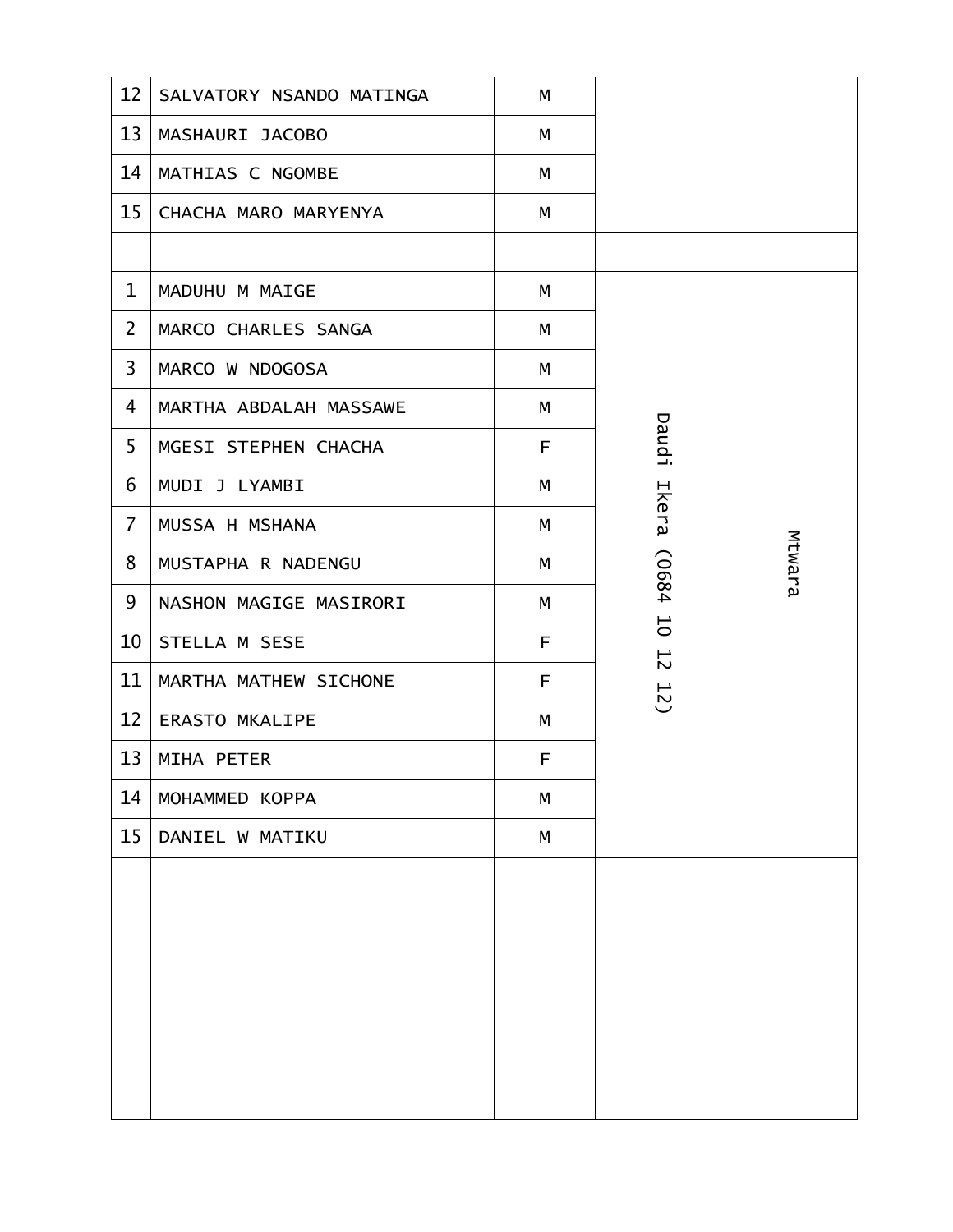| 12             | SALVATORY NSANDO MATINGA | M  |                                  |        |
|----------------|--------------------------|----|----------------------------------|--------|
| 13             | MASHAURI JACOBO          | M  |                                  |        |
| 14             | MATHIAS C NGOMBE         | M  |                                  |        |
| 15             | CHACHA MARO MARYENYA     | M  |                                  |        |
|                |                          |    |                                  |        |
| $\mathbf{1}$   | MADUHU M MAIGE           | М  |                                  |        |
| $\overline{2}$ | MARCO CHARLES SANGA      | M  |                                  |        |
| 3              | MARCO W NDOGOSA          | M  |                                  |        |
| 4              | MARTHA ABDALAH MASSAWE   | M  |                                  |        |
| 5              | MGESI STEPHEN CHACHA     | F  | <b>Daudi</b>                     |        |
| 6              | MUDI J LYAMBI            | М  |                                  |        |
| $\overline{7}$ | MUSSA H MSHANA           | M  | Ikera                            |        |
| 8              | MUSTAPHA R NADENGU       | М  | (0684                            | Mtwara |
| 9              | NASHON MAGIGE MASIRORI   | M  |                                  |        |
| 10             | STELLA M SESE            | F. | $\overline{0}$<br>$\overline{5}$ |        |
| 11             | MARTHA MATHEW SICHONE    | F. | 12)                              |        |
| 12             | <b>ERASTO MKALIPE</b>    | M  |                                  |        |
| 13             | MIHA PETER               | F  |                                  |        |
| 14             | MOHAMMED KOPPA           | М  |                                  |        |
| 15             | DANIEL W MATIKU          | M  |                                  |        |
|                |                          |    |                                  |        |
|                |                          |    |                                  |        |
|                |                          |    |                                  |        |
|                |                          |    |                                  |        |
|                |                          |    |                                  |        |
|                |                          |    |                                  |        |
|                |                          |    |                                  |        |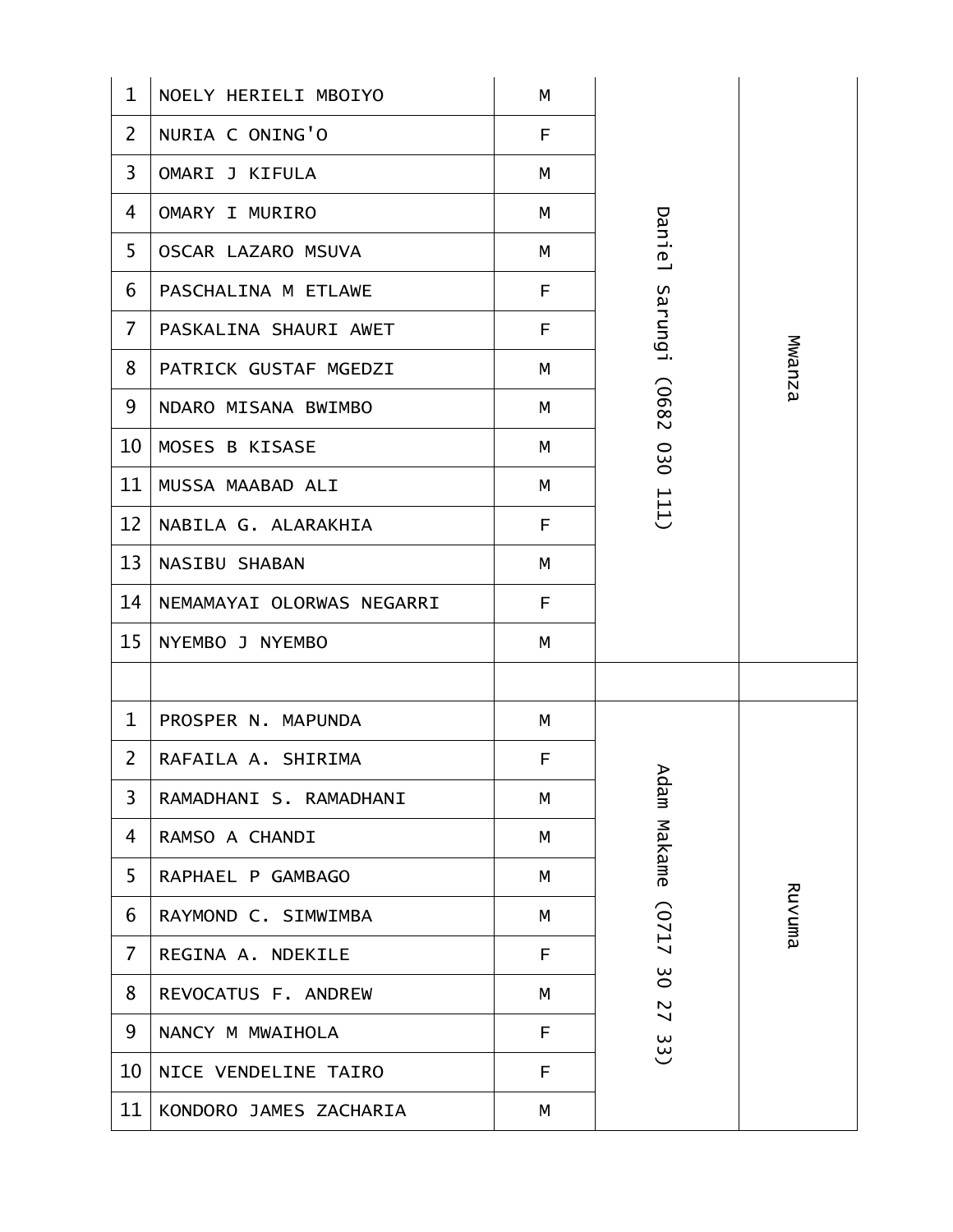| $\mathbf 1$    | NOELY HERIELI MBOIYO      | M |                     |        |
|----------------|---------------------------|---|---------------------|--------|
| $\overline{2}$ | NURIA C ONING'O           | F |                     |        |
| 3              | OMARI J KIFULA            | М |                     |        |
| 4              | OMARY I MURIRO            | M |                     |        |
| 5              | OSCAR LAZARO MSUVA        | M | <b>Daniel</b>       |        |
| 6              | PASCHALINA M ETLAWE       | F |                     |        |
| $\overline{7}$ | PASKALINA SHAURI AWET     | F | Sarungi             |        |
| 8              | PATRICK GUSTAF MGEDZI     | М |                     | Mwanza |
| 9              | NDARO MISANA BWIMBO       | М | (0682               |        |
| 10             | MOSES B KISASE            | M | 030                 |        |
| 11             | MUSSA MAABAD ALI          | M |                     |        |
| 12             | NABILA G. ALARAKHIA       | F | 111                 |        |
| 13             | <b>NASIBU SHABAN</b>      | M |                     |        |
| 14             | NEMAMAYAI OLORWAS NEGARRI | F |                     |        |
| 15             | NYEMBO J NYEMBO           | M |                     |        |
|                |                           |   |                     |        |
| $\mathbf{1}$   | PROSPER N. MAPUNDA        | M |                     |        |
| $\overline{2}$ | RAFAILA A. SHIRIMA        | F | ⋗                   |        |
| 3              | RAMADHANI S. RAMADHANI    | М | dam                 |        |
| 4              | RAMSO A CHANDI            | М | Makame              |        |
| 5              | RAPHAEL P GAMBAGO         | M |                     |        |
| 6              | RAYMOND C. SIMWIMBA       | M | (0717               | Ruvuma |
| 7              | REGINA A. NDEKILE         | F |                     |        |
| 8              | REVOCATUS F. ANDREW       | М | $\frac{8}{2}$<br>27 |        |
| 9              | NANCY M MWAIHOLA          | F | 33)                 |        |
| 10             | NICE VENDELINE TAIRO      | F |                     |        |
| 11             | KONDORO JAMES ZACHARIA    | М |                     |        |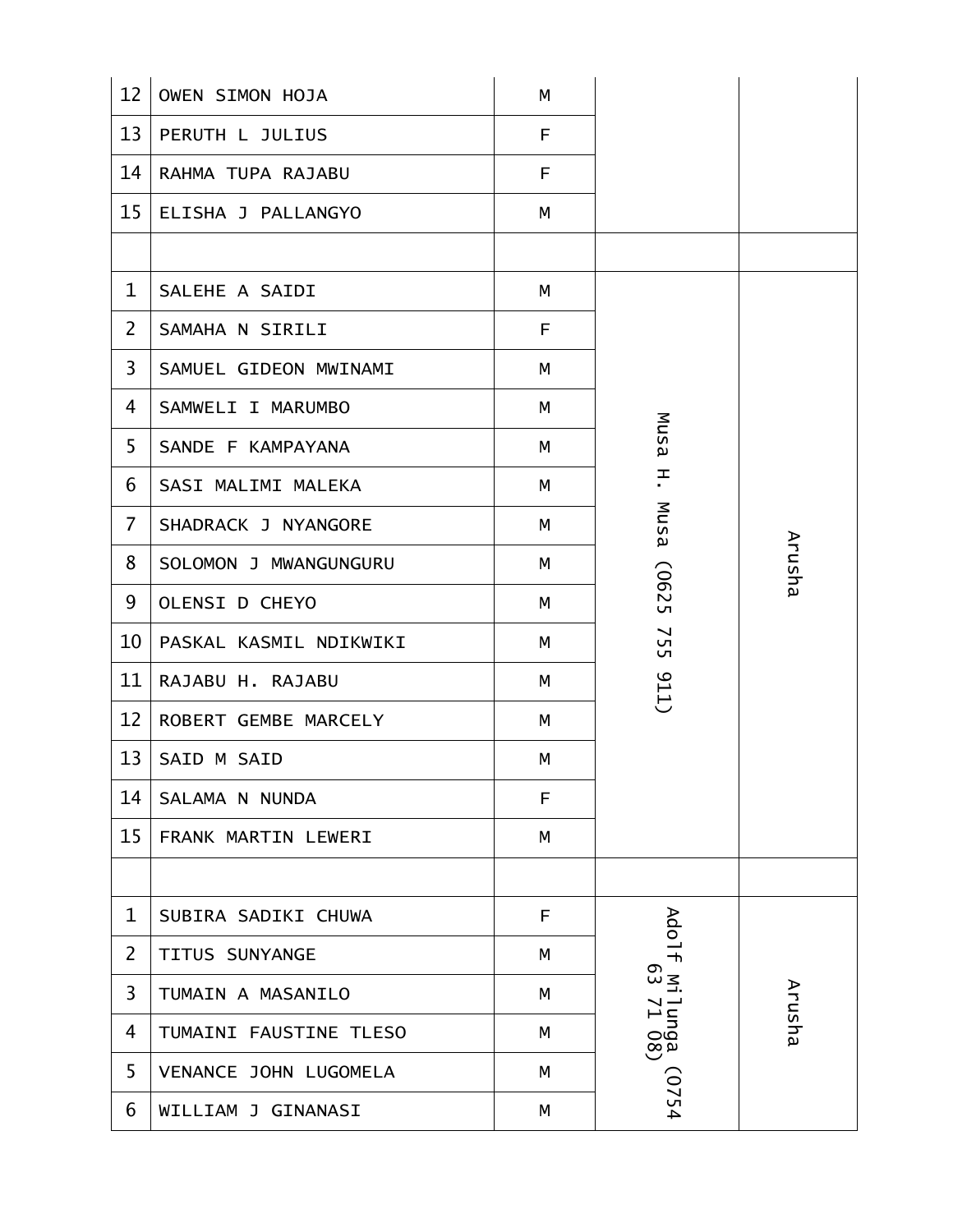| 12             | OWEN SIMON HOJA        | M |                   |        |
|----------------|------------------------|---|-------------------|--------|
| 13             | PERUTH L JULIUS        | F |                   |        |
| 14             | RAHMA TUPA RAJABU      | F |                   |        |
| 15             | ELISHA J PALLANGYO     | M |                   |        |
|                |                        |   |                   |        |
| $\mathbf 1$    | SALEHE A SAIDI         | M |                   |        |
| $\overline{2}$ | SAMAHA N SIRILI        | F |                   |        |
| 3              | SAMUEL GIDEON MWINAMI  | М |                   |        |
| 4              | SAMWELI I MARUMBO      | M |                   |        |
| 5              | SANDE F KAMPAYANA      | M | Musa              |        |
| 6              | SASI MALIMI MALEKA     | M | 픈                 |        |
| $\overline{7}$ | SHADRACK J NYANGORE    | M | Musa              |        |
| 8              | SOLOMON J MWANGUNGURU  | М |                   | Arusha |
| 9              | <b>OLENSI D CHEYO</b>  | м | (0625             |        |
| 10             | PASKAL KASMIL NDIKWIKI | M | <b>755</b>        |        |
| 11             | RAJABU H. RAJABU       | M | 011)              |        |
| 12             | ROBERT GEMBE MARCELY   | M |                   |        |
| 13             | SAID M SAID            | M |                   |        |
| 14             | SALAMA N NUNDA         | F |                   |        |
| 15             | FRANK MARTIN LEWERI    | M |                   |        |
|                |                        |   |                   |        |
| 1              | SUBIRA SADIKI CHUWA    | F |                   |        |
| $\overline{2}$ | TITUS SUNYANGE         | M | Ado1f Mi          |        |
| 3              | TUMAIN A MASANILO      | М |                   | Arusha |
| 4              | TUMAINI FAUSTINE TLESO | М | 1unga<br>  71 08) |        |
| 5              | VENANCE JOHN LUGOMELA  | M |                   |        |
| 6              | WILLIAM J GINANASI     | M | (0754)            |        |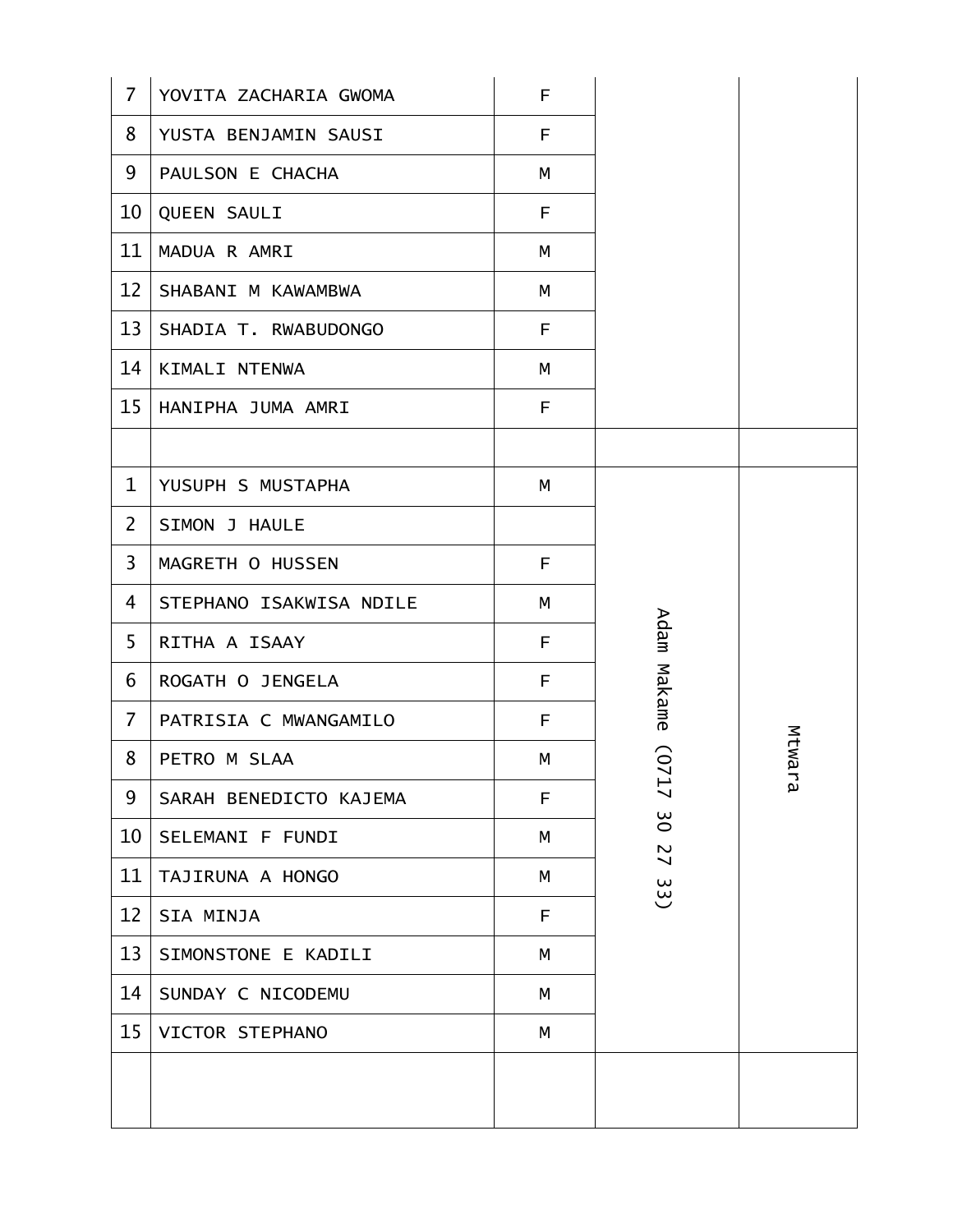| $\overline{7}$  | YOVITA ZACHARIA GWOMA   | F |          |           |
|-----------------|-------------------------|---|----------|-----------|
| 8               | YUSTA BENJAMIN SAUSI    | F |          |           |
| 9               | PAULSON E CHACHA        | M |          |           |
| 10              | QUEEN SAULI             | F |          |           |
| 11              | MADUA R AMRI            | M |          |           |
| 12              | SHABANI M KAWAMBWA      | M |          |           |
| 13              | SHADIA T. RWABUDONGO    | F |          |           |
| 14              | KIMALI NTENWA           | М |          |           |
| 15 <sup>1</sup> | HANIPHA JUMA AMRI       | F |          |           |
|                 |                         |   |          |           |
| $\mathbf 1$     | YUSUPH S MUSTAPHA       | M |          |           |
| $\overline{2}$  | SIMON J HAULE           |   |          |           |
| $\overline{3}$  | MAGRETH O HUSSEN        | F |          |           |
| 4               | STEPHANO ISAKWISA NDILE | М |          |           |
| 5               | RITHA A ISAAY           | F | Adam     |           |
| 6               | ROGATH O JENGELA        | F | Makame   |           |
| $\overline{7}$  | PATRISIA C MWANGAMILO   | F |          |           |
| 8               | PETRO M SLAA            | М | G<br>↘   | Mtwa<br>ℸ |
| 9               | SARAH BENEDICTO KAJEMA  | F | 17       | ρJ        |
| 10              | SELEMANI F FUNDI        | M | 3O<br>27 |           |
| 11              | TAJIRUNA A HONGO        | M | 33)      |           |
| 12              | SIA MINJA               | F |          |           |
| 13              | SIMONSTONE E KADILI     | M |          |           |
| 14              | SUNDAY C NICODEMU       | М |          |           |
| 15              | VICTOR STEPHANO         | M |          |           |
|                 |                         |   |          |           |
|                 |                         |   |          |           |